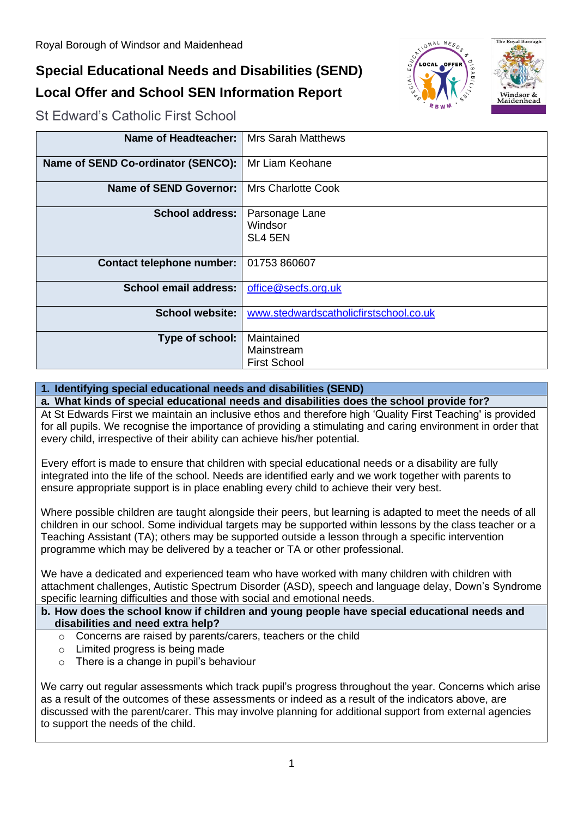# **Special Educational Needs and Disabilities (SEND) Local Offer and School SEN Information Report**





St Edward's Catholic First School

| Name of Headteacher:               | <b>Mrs Sarah Matthews</b>              |
|------------------------------------|----------------------------------------|
| Name of SEND Co-ordinator (SENCO): | Mr Liam Keohane                        |
| <b>Name of SEND Governor:</b>      | <b>Mrs Charlotte Cook</b>              |
| <b>School address:</b>             | Parsonage Lane                         |
|                                    | Windsor                                |
|                                    | SL4 5EN                                |
|                                    |                                        |
| <b>Contact telephone number:</b>   | 01753 860607                           |
| <b>School email address:</b>       | office@secfs.org.uk                    |
|                                    |                                        |
| <b>School website:</b>             | www.stedwardscatholicfirstschool.co.uk |
|                                    |                                        |
| Type of school:                    | Maintained                             |
|                                    | Mainstream                             |
|                                    | <b>First School</b>                    |

# **1. Identifying special educational needs and disabilities (SEND)**

# **a. What kinds of special educational needs and disabilities does the school provide for?**

At St Edwards First we maintain an inclusive ethos and therefore high 'Quality First Teaching' is provided for all pupils. We recognise the importance of providing a stimulating and caring environment in order that every child, irrespective of their ability can achieve his/her potential.

Every effort is made to ensure that children with special educational needs or a disability are fully integrated into the life of the school. Needs are identified early and we work together with parents to ensure appropriate support is in place enabling every child to achieve their very best.

Where possible children are taught alongside their peers, but learning is adapted to meet the needs of all children in our school. Some individual targets may be supported within lessons by the class teacher or a Teaching Assistant (TA); others may be supported outside a lesson through a specific intervention programme which may be delivered by a teacher or TA or other professional.

We have a dedicated and experienced team who have worked with many children with children with attachment challenges, Autistic Spectrum Disorder (ASD), speech and language delay, Down's Syndrome specific learning difficulties and those with social and emotional needs.

## **b. How does the school know if children and young people have special educational needs and disabilities and need extra help?**

- o Concerns are raised by parents/carers, teachers or the child
- o Limited progress is being made
- $\circ$  There is a change in pupil's behaviour

We carry out regular assessments which track pupil's progress throughout the year. Concerns which arise as a result of the outcomes of these assessments or indeed as a result of the indicators above, are discussed with the parent/carer. This may involve planning for additional support from external agencies to support the needs of the child.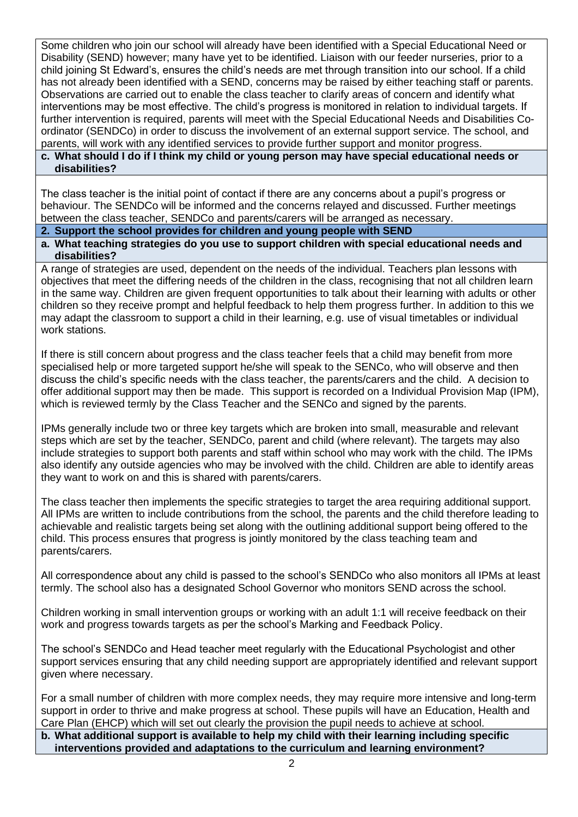Some children who join our school will already have been identified with a Special Educational Need or Disability (SEND) however; many have yet to be identified. Liaison with our feeder nurseries, prior to a child joining St Edward's, ensures the child's needs are met through transition into our school. If a child has not already been identified with a SEND, concerns may be raised by either teaching staff or parents. Observations are carried out to enable the class teacher to clarify areas of concern and identify what interventions may be most effective. The child's progress is monitored in relation to individual targets. If further intervention is required, parents will meet with the Special Educational Needs and Disabilities Coordinator (SENDCo) in order to discuss the involvement of an external support service. The school, and parents, will work with any identified services to provide further support and monitor progress.

## **c. What should I do if I think my child or young person may have special educational needs or disabilities?**

The class teacher is the initial point of contact if there are any concerns about a pupil's progress or behaviour. The SENDCo will be informed and the concerns relayed and discussed. Further meetings between the class teacher, SENDCo and parents/carers will be arranged as necessary.

## **2. Support the school provides for children and young people with SEND**

**a. What teaching strategies do you use to support children with special educational needs and disabilities?** 

A range of strategies are used, dependent on the needs of the individual. Teachers plan lessons with objectives that meet the differing needs of the children in the class, recognising that not all children learn in the same way. Children are given frequent opportunities to talk about their learning with adults or other children so they receive prompt and helpful feedback to help them progress further. In addition to this we may adapt the classroom to support a child in their learning, e.g. use of visual timetables or individual work stations.

If there is still concern about progress and the class teacher feels that a child may benefit from more specialised help or more targeted support he/she will speak to the SENCo, who will observe and then discuss the child's specific needs with the class teacher, the parents/carers and the child. A decision to offer additional support may then be made. This support is recorded on a Individual Provision Map (IPM), which is reviewed termly by the Class Teacher and the SENCo and signed by the parents.

IPMs generally include two or three key targets which are broken into small, measurable and relevant steps which are set by the teacher, SENDCo, parent and child (where relevant). The targets may also include strategies to support both parents and staff within school who may work with the child. The IPMs also identify any outside agencies who may be involved with the child. Children are able to identify areas they want to work on and this is shared with parents/carers.

The class teacher then implements the specific strategies to target the area requiring additional support. All IPMs are written to include contributions from the school, the parents and the child therefore leading to achievable and realistic targets being set along with the outlining additional support being offered to the child. This process ensures that progress is jointly monitored by the class teaching team and parents/carers.

All correspondence about any child is passed to the school's SENDCo who also monitors all IPMs at least termly. The school also has a designated School Governor who monitors SEND across the school.

Children working in small intervention groups or working with an adult 1:1 will receive feedback on their work and progress towards targets as per the school's Marking and Feedback Policy.

The school's SENDCo and Head teacher meet regularly with the Educational Psychologist and other support services ensuring that any child needing support are appropriately identified and relevant support given where necessary.

For a small number of children with more complex needs, they may require more intensive and long-term support in order to thrive and make progress at school. These pupils will have an Education, Health and Care Plan (EHCP) which will set out clearly the provision the pupil needs to achieve at school.

**b. What additional support is available to help my child with their learning including specific interventions provided and adaptations to the curriculum and learning environment?**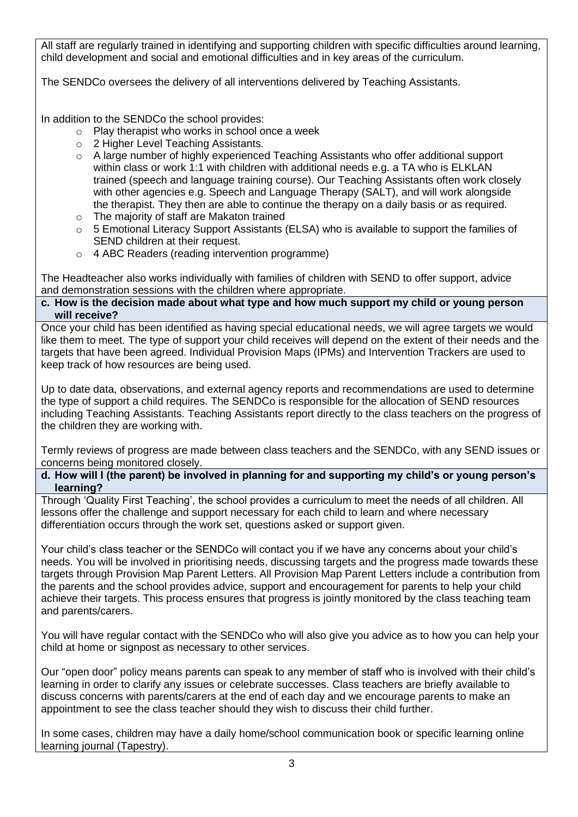All staff are regularly trained in identifying and supporting children with specific difficulties around learning, child development and social and emotional difficulties and in key areas of the curriculum.

The SENDCo oversees the delivery of all interventions delivered by Teaching Assistants.

In addition to the SENDCo the school provides:

- o Play therapist who works in school once a week
- o 2 Higher Level Teaching Assistants.
- o A large number of highly experienced Teaching Assistants who offer additional support within class or work 1:1 with children with additional needs e.g. a TA who is ELKLAN trained (speech and language training course). Our Teaching Assistants often work closely with other agencies e.g. Speech and Language Therapy (SALT), and will work alongside the therapist. They then are able to continue the therapy on a daily basis or as required.
- o The majority of staff are Makaton trained
- $\circ$  5 Emotional Literacy Support Assistants (ELSA) who is available to support the families of SEND children at their request.
- o 4 ABC Readers (reading intervention programme)

The Headteacher also works individually with families of children with SEND to offer support, advice and demonstration sessions with the children where appropriate.

## **c. How is the decision made about what type and how much support my child or young person will receive?**

Once your child has been identified as having special educational needs, we will agree targets we would like them to meet. The type of support your child receives will depend on the extent of their needs and the targets that have been agreed. Individual Provision Maps (IPMs) and Intervention Trackers are used to keep track of how resources are being used.

Up to date data, observations, and external agency reports and recommendations are used to determine the type of support a child requires. The SENDCo is responsible for the allocation of SEND resources including Teaching Assistants. Teaching Assistants report directly to the class teachers on the progress of the children they are working with.

Termly reviews of progress are made between class teachers and the SENDCo, with any SEND issues or concerns being monitored closely.

## **d. How will I (the parent) be involved in planning for and supporting my child's or young person's learning?**

Through 'Quality First Teaching', the school provides a curriculum to meet the needs of all children. All lessons offer the challenge and support necessary for each child to learn and where necessary differentiation occurs through the work set, questions asked or support given.

Your child's class teacher or the SENDCo will contact you if we have any concerns about your child's needs. You will be involved in prioritising needs, discussing targets and the progress made towards these targets through Provision Map Parent Letters. All Provision Map Parent Letters include a contribution from the parents and the school provides advice, support and encouragement for parents to help your child achieve their targets. This process ensures that progress is jointly monitored by the class teaching team and parents/carers.

You will have regular contact with the SENDCo who will also give you advice as to how you can help your child at home or signpost as necessary to other services.

Our "open door" policy means parents can speak to any member of staff who is involved with their child's learning in order to clarify any issues or celebrate successes. Class teachers are briefly available to discuss concerns with parents/carers at the end of each day and we encourage parents to make an appointment to see the class teacher should they wish to discuss their child further.

In some cases, children may have a daily home/school communication book or specific learning online learning journal (Tapestry).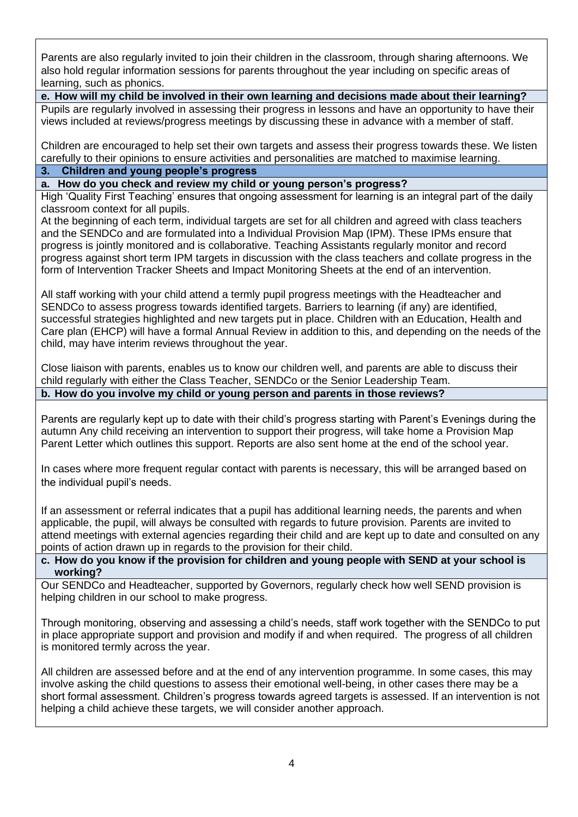Parents are also regularly invited to join their children in the classroom, through sharing afternoons. We also hold regular information sessions for parents throughout the year including on specific areas of learning, such as phonics.

**e. How will my child be involved in their own learning and decisions made about their learning?** Pupils are regularly involved in assessing their progress in lessons and have an opportunity to have their views included at reviews/progress meetings by discussing these in advance with a member of staff.

Children are encouraged to help set their own targets and assess their progress towards these. We listen carefully to their opinions to ensure activities and personalities are matched to maximise learning.

# **3. Children and young people's progress**

**a. How do you check and review my child or young person's progress?**

High 'Quality First Teaching' ensures that ongoing assessment for learning is an integral part of the daily classroom context for all pupils.

At the beginning of each term, individual targets are set for all children and agreed with class teachers and the SENDCo and are formulated into a Individual Provision Map (IPM). These IPMs ensure that progress is jointly monitored and is collaborative. Teaching Assistants regularly monitor and record progress against short term IPM targets in discussion with the class teachers and collate progress in the form of Intervention Tracker Sheets and Impact Monitoring Sheets at the end of an intervention.

All staff working with your child attend a termly pupil progress meetings with the Headteacher and SENDCo to assess progress towards identified targets. Barriers to learning (if any) are identified, successful strategies highlighted and new targets put in place. Children with an Education, Health and Care plan (EHCP) will have a formal Annual Review in addition to this, and depending on the needs of the child, may have interim reviews throughout the year.

Close liaison with parents, enables us to know our children well, and parents are able to discuss their child regularly with either the Class Teacher, SENDCo or the Senior Leadership Team.

# **b. How do you involve my child or young person and parents in those reviews?**

Parents are regularly kept up to date with their child's progress starting with Parent's Evenings during the autumn Any child receiving an intervention to support their progress, will take home a Provision Map Parent Letter which outlines this support. Reports are also sent home at the end of the school year.

In cases where more frequent regular contact with parents is necessary, this will be arranged based on the individual pupil's needs.

If an assessment or referral indicates that a pupil has additional learning needs, the parents and when applicable, the pupil, will always be consulted with regards to future provision. Parents are invited to attend meetings with external agencies regarding their child and are kept up to date and consulted on any points of action drawn up in regards to the provision for their child.

## **c. How do you know if the provision for children and young people with SEND at your school is working?**

Our SENDCo and Headteacher, supported by Governors, regularly check how well SEND provision is helping children in our school to make progress.

Through monitoring, observing and assessing a child's needs, staff work together with the SENDCo to put in place appropriate support and provision and modify if and when required. The progress of all children is monitored termly across the year.

All children are assessed before and at the end of any intervention programme. In some cases, this may involve asking the child questions to assess their emotional well-being, in other cases there may be a short formal assessment. Children's progress towards agreed targets is assessed. If an intervention is not helping a child achieve these targets, we will consider another approach.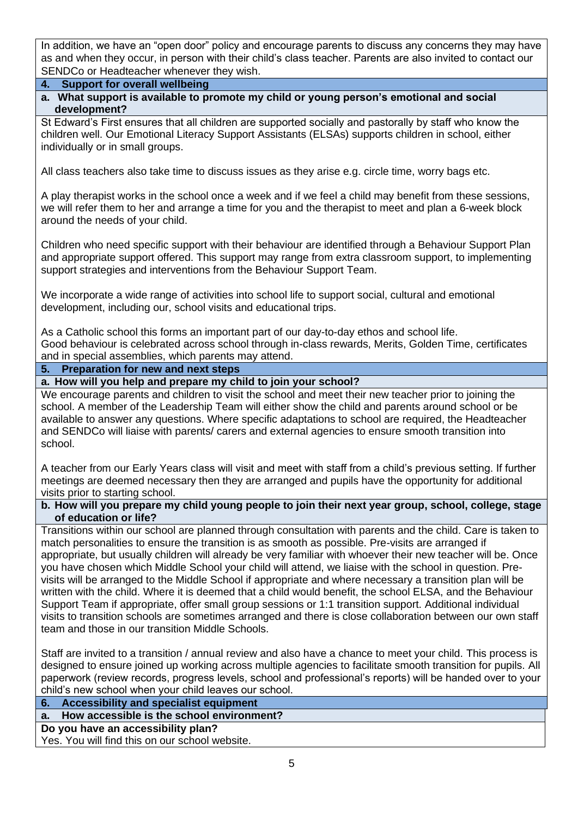In addition, we have an "open door" policy and encourage parents to discuss any concerns they may have as and when they occur, in person with their child's class teacher. Parents are also invited to contact our SENDCo or Headteacher whenever they wish.

- **4. Support for overall wellbeing**
- **a. What support is available to promote my child or young person's emotional and social development?**

St Edward's First ensures that all children are supported socially and pastorally by staff who know the children well. Our Emotional Literacy Support Assistants (ELSAs) supports children in school, either individually or in small groups.

All class teachers also take time to discuss issues as they arise e.g. circle time, worry bags etc.

A play therapist works in the school once a week and if we feel a child may benefit from these sessions, we will refer them to her and arrange a time for you and the therapist to meet and plan a 6-week block around the needs of your child.

Children who need specific support with their behaviour are identified through a Behaviour Support Plan and appropriate support offered. This support may range from extra classroom support, to implementing support strategies and interventions from the Behaviour Support Team.

We incorporate a wide range of activities into school life to support social, cultural and emotional development, including our, school visits and educational trips.

As a Catholic school this forms an important part of our day-to-day ethos and school life. Good behaviour is celebrated across school through in-class rewards, Merits, Golden Time, certificates and in special assemblies, which parents may attend.

#### **5. Preparation for new and next steps**

**a. How will you help and prepare my child to join your school?** 

We encourage parents and children to visit the school and meet their new teacher prior to joining the school. A member of the Leadership Team will either show the child and parents around school or be available to answer any questions. Where specific adaptations to school are required, the Headteacher and SENDCo will liaise with parents/ carers and external agencies to ensure smooth transition into school.

A teacher from our Early Years class will visit and meet with staff from a child's previous setting. If further meetings are deemed necessary then they are arranged and pupils have the opportunity for additional visits prior to starting school.

#### **b. How will you prepare my child young people to join their next year group, school, college, stage of education or life?**

Transitions within our school are planned through consultation with parents and the child. Care is taken to match personalities to ensure the transition is as smooth as possible. Pre-visits are arranged if appropriate, but usually children will already be very familiar with whoever their new teacher will be. Once you have chosen which Middle School your child will attend, we liaise with the school in question. Previsits will be arranged to the Middle School if appropriate and where necessary a transition plan will be written with the child. Where it is deemed that a child would benefit, the school ELSA, and the Behaviour Support Team if appropriate, offer small group sessions or 1:1 transition support. Additional individual visits to transition schools are sometimes arranged and there is close collaboration between our own staff team and those in our transition Middle Schools.

Staff are invited to a transition / annual review and also have a chance to meet your child. This process is designed to ensure joined up working across multiple agencies to facilitate smooth transition for pupils. All paperwork (review records, progress levels, school and professional's reports) will be handed over to your child's new school when your child leaves our school.

**6. Accessibility and specialist equipment**

**a. How accessible is the school environment?** 

#### **Do you have an accessibility plan?**

Yes. You will find this on our school website.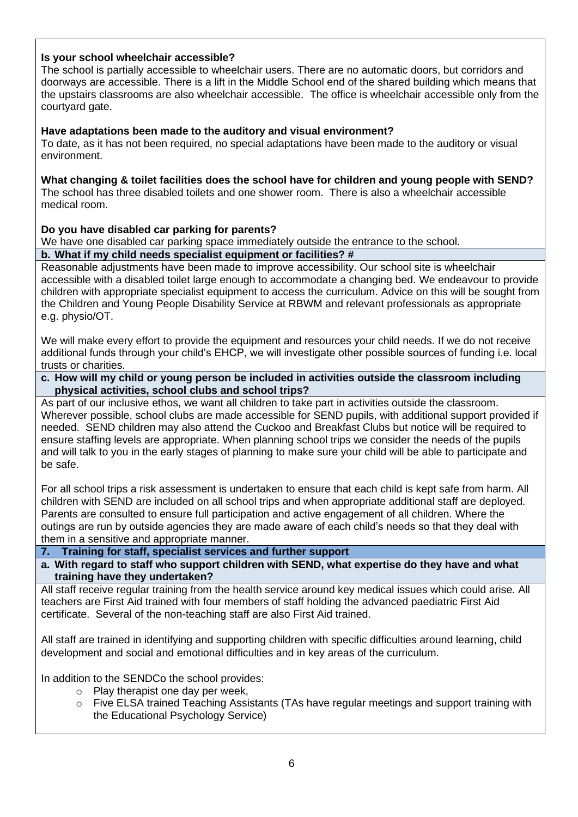# **Is your school wheelchair accessible?**

The school is partially accessible to wheelchair users. There are no automatic doors, but corridors and doorways are accessible. There is a lift in the Middle School end of the shared building which means that the upstairs classrooms are also wheelchair accessible. The office is wheelchair accessible only from the courtyard gate.

#### **Have adaptations been made to the auditory and visual environment?**

To date, as it has not been required, no special adaptations have been made to the auditory or visual environment.

**What changing & toilet facilities does the school have for children and young people with SEND?** The school has three disabled toilets and one shower room. There is also a wheelchair accessible medical room.

## **Do you have disabled car parking for parents?**

We have one disabled car parking space immediately outside the entrance to the school.

## **b. What if my child needs specialist equipment or facilities? #**

Reasonable adjustments have been made to improve accessibility. Our school site is wheelchair accessible with a disabled toilet large enough to accommodate a changing bed. We endeavour to provide children with appropriate specialist equipment to access the curriculum. Advice on this will be sought from the Children and Young People Disability Service at RBWM and relevant professionals as appropriate e.g. physio/OT.

We will make every effort to provide the equipment and resources your child needs. If we do not receive additional funds through your child's EHCP, we will investigate other possible sources of funding i.e. local trusts or charities.

**c. How will my child or young person be included in activities outside the classroom including physical activities, school clubs and school trips?**

As part of our inclusive ethos, we want all children to take part in activities outside the classroom. Wherever possible, school clubs are made accessible for SEND pupils, with additional support provided if needed. SEND children may also attend the Cuckoo and Breakfast Clubs but notice will be required to ensure staffing levels are appropriate. When planning school trips we consider the needs of the pupils and will talk to you in the early stages of planning to make sure your child will be able to participate and be safe.

For all school trips a risk assessment is undertaken to ensure that each child is kept safe from harm. All children with SEND are included on all school trips and when appropriate additional staff are deployed. Parents are consulted to ensure full participation and active engagement of all children. Where the outings are run by outside agencies they are made aware of each child's needs so that they deal with them in a sensitive and appropriate manner.

**7. Training for staff, specialist services and further support**

**a. With regard to staff who support children with SEND, what expertise do they have and what training have they undertaken?**

All staff receive regular training from the health service around key medical issues which could arise. All teachers are First Aid trained with four members of staff holding the advanced paediatric First Aid certificate. Several of the non-teaching staff are also First Aid trained.

All staff are trained in identifying and supporting children with specific difficulties around learning, child development and social and emotional difficulties and in key areas of the curriculum.

In addition to the SENDCo the school provides:

- o Play therapist one day per week,
	- o Five ELSA trained Teaching Assistants (TAs have regular meetings and support training with the Educational Psychology Service)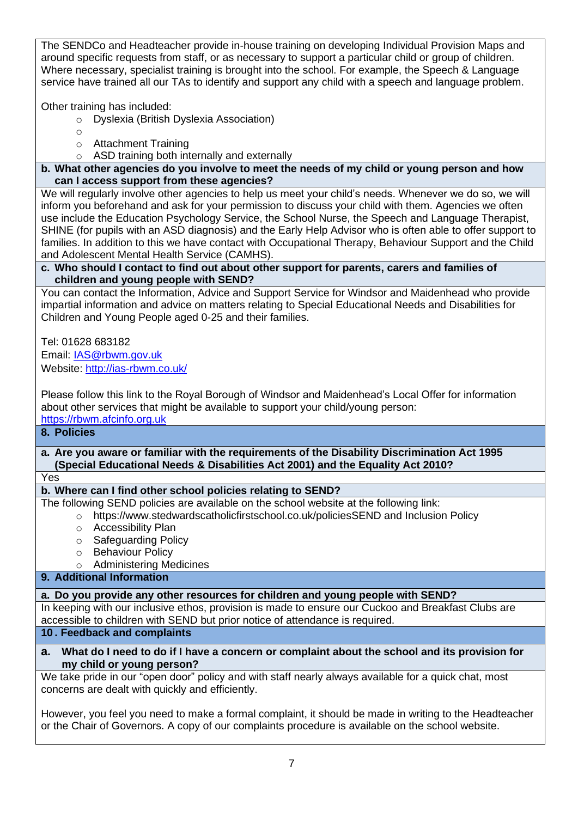The SENDCo and Headteacher provide in-house training on developing Individual Provision Maps and around specific requests from staff, or as necessary to support a particular child or group of children. Where necessary, specialist training is brought into the school. For example, the Speech & Language service have trained all our TAs to identify and support any child with a speech and language problem.

Other training has included:

- o Dyslexia (British Dyslexia Association)
- o
- o Attachment Training
- o ASD training both internally and externally

**b. What other agencies do you involve to meet the needs of my child or young person and how can I access support from these agencies?** 

We will regularly involve other agencies to help us meet your child's needs. Whenever we do so, we will inform you beforehand and ask for your permission to discuss your child with them. Agencies we often use include the Education Psychology Service, the School Nurse, the Speech and Language Therapist, SHINE (for pupils with an ASD diagnosis) and the Early Help Advisor who is often able to offer support to families. In addition to this we have contact with Occupational Therapy, Behaviour Support and the Child and Adolescent Mental Health Service (CAMHS).

# **c. Who should I contact to find out about other support for parents, carers and families of children and young people with SEND?**

You can contact the Information, Advice and Support Service for Windsor and Maidenhead who provide impartial information and advice on matters relating to Special Educational Needs and Disabilities for Children and Young People aged 0-25 and their families.

Tel: 01628 683182 Email: IAS@rbwm.gov.uk Website: [http://ias-rbwm.co.uk/](about:blank)

Please follow this link to the Royal Borough of Windsor and Maidenhead's Local Offer for information about other services that might be available to support your child/young person: [https://rbwm.afcinfo.org.uk](about:blank)

# **8. Policies**

**a. Are you aware or familiar with the requirements of the Disability Discrimination Act 1995 (Special Educational Needs & Disabilities Act 2001) and the Equality Act 2010?**

Yes

# **b. Where can I find other school policies relating to SEND?**

The following SEND policies are available on the school website at the following link:

- o https://www.stedwardscatholicfirstschool.co.uk/policiesSEND and Inclusion Policy
	- o Accessibility Plan
	- o Safeguarding Policy
	- o Behaviour Policy
	- o Administering Medicines

# **9. Additional Information**

# **a. Do you provide any other resources for children and young people with SEND?**

In keeping with our inclusive ethos, provision is made to ensure our Cuckoo and Breakfast Clubs are accessible to children with SEND but prior notice of attendance is required.

# **10 . Feedback and complaints**

## **a. What do I need to do if I have a concern or complaint about the school and its provision for my child or young person?**

We take pride in our "open door" policy and with staff nearly always available for a quick chat, most concerns are dealt with quickly and efficiently.

However, you feel you need to make a formal complaint, it should be made in writing to the Headteacher or the Chair of Governors. A copy of our complaints procedure is available on the school website.